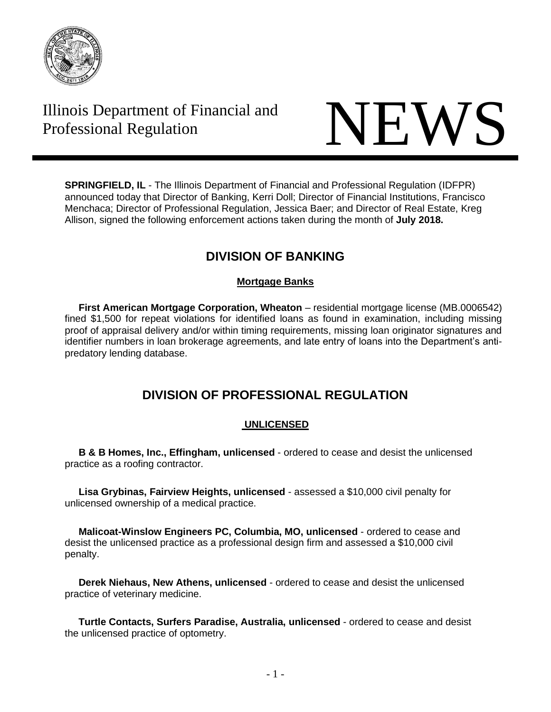

# Illinois Department of Financial and



**SPRINGFIELD, IL** - The Illinois Department of Financial and Professional Regulation (IDFPR) announced today that Director of Banking, Kerri Doll; Director of Financial Institutions, Francisco Menchaca; Director of Professional Regulation, Jessica Baer; and Director of Real Estate, Kreg Allison, signed the following enforcement actions taken during the month of **July 2018.**

# **DIVISION OF BANKING**

# **Mortgage Banks**

 **First American Mortgage Corporation, Wheaton** – residential mortgage license (MB.0006542) fined \$1,500 for repeat violations for identified loans as found in examination, including missing proof of appraisal delivery and/or within timing requirements, missing loan originator signatures and identifier numbers in loan brokerage agreements, and late entry of loans into the Department's antipredatory lending database.

# **DIVISION OF PROFESSIONAL REGULATION**

# **UNLICENSED**

 **B & B Homes, Inc., Effingham, unlicensed** - ordered to cease and desist the unlicensed practice as a roofing contractor.

 **Lisa Grybinas, Fairview Heights, unlicensed** - assessed a \$10,000 civil penalty for unlicensed ownership of a medical practice.

 **Malicoat-Winslow Engineers PC, Columbia, MO, unlicensed** - ordered to cease and desist the unlicensed practice as a professional design firm and assessed a \$10,000 civil penalty.

 **Derek Niehaus, New Athens, unlicensed** - ordered to cease and desist the unlicensed practice of veterinary medicine.

 **Turtle Contacts, Surfers Paradise, Australia, unlicensed** - ordered to cease and desist the unlicensed practice of optometry.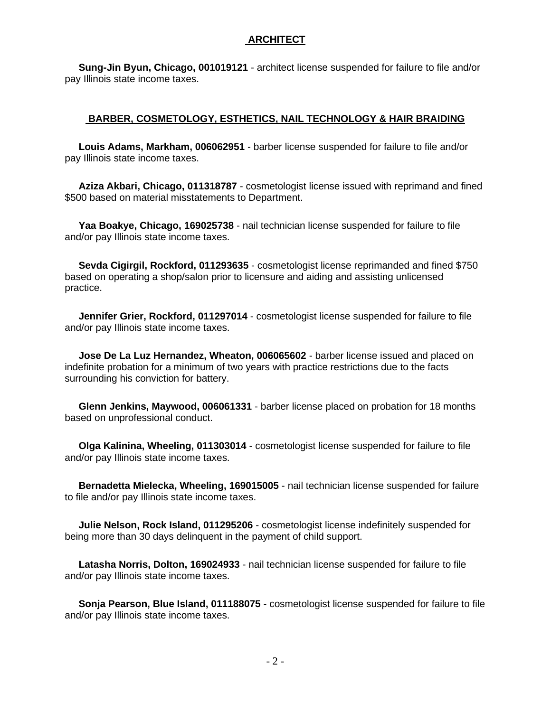# **ARCHITECT**

 **Sung-Jin Byun, Chicago, 001019121** - architect license suspended for failure to file and/or pay Illinois state income taxes.

## **BARBER, COSMETOLOGY, ESTHETICS, NAIL TECHNOLOGY & HAIR BRAIDING**

 **Louis Adams, Markham, 006062951** - barber license suspended for failure to file and/or pay Illinois state income taxes.

 **Aziza Akbari, Chicago, 011318787** - cosmetologist license issued with reprimand and fined \$500 based on material misstatements to Department.

 **Yaa Boakye, Chicago, 169025738** - nail technician license suspended for failure to file and/or pay Illinois state income taxes.

 **Sevda Cigirgil, Rockford, 011293635** - cosmetologist license reprimanded and fined \$750 based on operating a shop/salon prior to licensure and aiding and assisting unlicensed practice.

 **Jennifer Grier, Rockford, 011297014** - cosmetologist license suspended for failure to file and/or pay Illinois state income taxes.

 **Jose De La Luz Hernandez, Wheaton, 006065602** - barber license issued and placed on indefinite probation for a minimum of two years with practice restrictions due to the facts surrounding his conviction for battery.

 **Glenn Jenkins, Maywood, 006061331** - barber license placed on probation for 18 months based on unprofessional conduct.

 **Olga Kalinina, Wheeling, 011303014** - cosmetologist license suspended for failure to file and/or pay Illinois state income taxes.

 **Bernadetta Mielecka, Wheeling, 169015005** - nail technician license suspended for failure to file and/or pay Illinois state income taxes.

 **Julie Nelson, Rock Island, 011295206** - cosmetologist license indefinitely suspended for being more than 30 days delinquent in the payment of child support.

 **Latasha Norris, Dolton, 169024933** - nail technician license suspended for failure to file and/or pay Illinois state income taxes.

 **Sonja Pearson, Blue Island, 011188075** - cosmetologist license suspended for failure to file and/or pay Illinois state income taxes.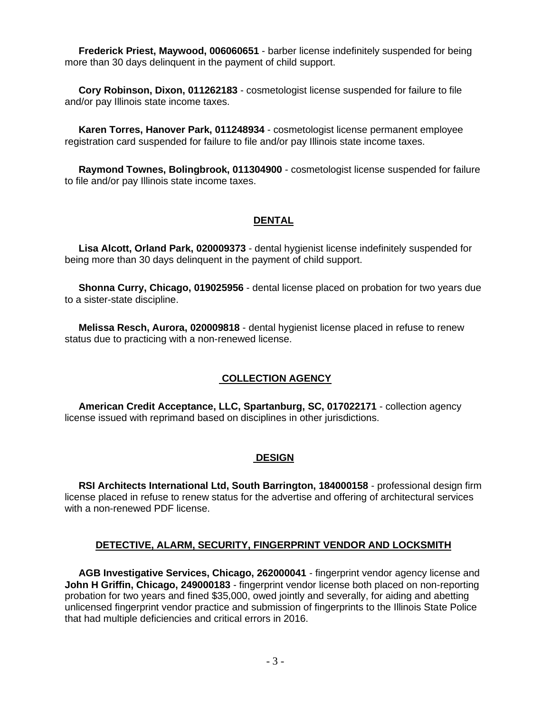**Frederick Priest, Maywood, 006060651** - barber license indefinitely suspended for being more than 30 days delinquent in the payment of child support.

 **Cory Robinson, Dixon, 011262183** - cosmetologist license suspended for failure to file and/or pay Illinois state income taxes.

 **Karen Torres, Hanover Park, 011248934** - cosmetologist license permanent employee registration card suspended for failure to file and/or pay Illinois state income taxes.

 **Raymond Townes, Bolingbrook, 011304900** - cosmetologist license suspended for failure to file and/or pay Illinois state income taxes.

### **DENTAL**

 **Lisa Alcott, Orland Park, 020009373** - dental hygienist license indefinitely suspended for being more than 30 days delinquent in the payment of child support.

 **Shonna Curry, Chicago, 019025956** - dental license placed on probation for two years due to a sister-state discipline.

 **Melissa Resch, Aurora, 020009818** - dental hygienist license placed in refuse to renew status due to practicing with a non-renewed license.

# **COLLECTION AGENCY**

 **American Credit Acceptance, LLC, Spartanburg, SC, 017022171** - collection agency license issued with reprimand based on disciplines in other jurisdictions.

#### **DESIGN**

 **RSI Architects International Ltd, South Barrington, 184000158** - professional design firm license placed in refuse to renew status for the advertise and offering of architectural services with a non-renewed PDF license.

#### **DETECTIVE, ALARM, SECURITY, FINGERPRINT VENDOR AND LOCKSMITH**

 **AGB Investigative Services, Chicago, 262000041** - fingerprint vendor agency license and **John H Griffin, Chicago, 249000183** - fingerprint vendor license both placed on non-reporting probation for two years and fined \$35,000, owed jointly and severally, for aiding and abetting unlicensed fingerprint vendor practice and submission of fingerprints to the Illinois State Police that had multiple deficiencies and critical errors in 2016.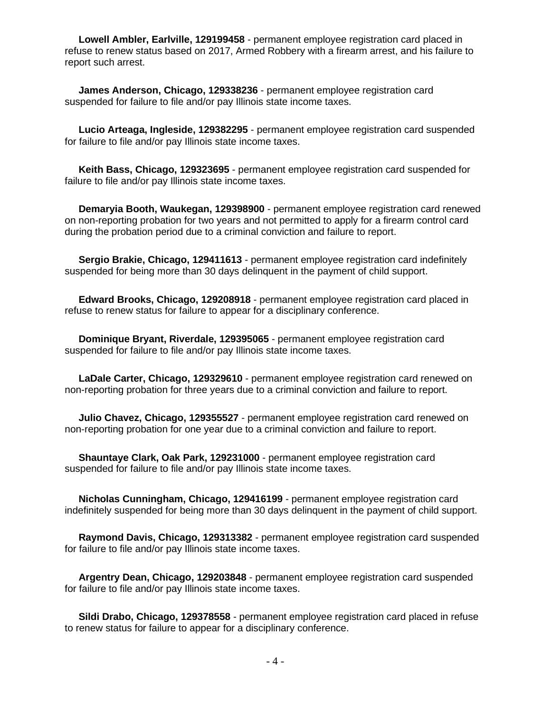**Lowell Ambler, Earlville, 129199458** - permanent employee registration card placed in refuse to renew status based on 2017, Armed Robbery with a firearm arrest, and his failure to report such arrest.

 **James Anderson, Chicago, 129338236** - permanent employee registration card suspended for failure to file and/or pay Illinois state income taxes.

 **Lucio Arteaga, Ingleside, 129382295** - permanent employee registration card suspended for failure to file and/or pay Illinois state income taxes.

 **Keith Bass, Chicago, 129323695** - permanent employee registration card suspended for failure to file and/or pay Illinois state income taxes.

 **Demaryia Booth, Waukegan, 129398900** - permanent employee registration card renewed on non-reporting probation for two years and not permitted to apply for a firearm control card during the probation period due to a criminal conviction and failure to report.

 **Sergio Brakie, Chicago, 129411613** - permanent employee registration card indefinitely suspended for being more than 30 days delinquent in the payment of child support.

 **Edward Brooks, Chicago, 129208918** - permanent employee registration card placed in refuse to renew status for failure to appear for a disciplinary conference.

 **Dominique Bryant, Riverdale, 129395065** - permanent employee registration card suspended for failure to file and/or pay Illinois state income taxes.

 **LaDale Carter, Chicago, 129329610** - permanent employee registration card renewed on non-reporting probation for three years due to a criminal conviction and failure to report.

 **Julio Chavez, Chicago, 129355527** - permanent employee registration card renewed on non-reporting probation for one year due to a criminal conviction and failure to report.

 **Shauntaye Clark, Oak Park, 129231000** - permanent employee registration card suspended for failure to file and/or pay Illinois state income taxes.

 **Nicholas Cunningham, Chicago, 129416199** - permanent employee registration card indefinitely suspended for being more than 30 days delinquent in the payment of child support.

 **Raymond Davis, Chicago, 129313382** - permanent employee registration card suspended for failure to file and/or pay Illinois state income taxes.

 **Argentry Dean, Chicago, 129203848** - permanent employee registration card suspended for failure to file and/or pay Illinois state income taxes.

 **Sildi Drabo, Chicago, 129378558** - permanent employee registration card placed in refuse to renew status for failure to appear for a disciplinary conference.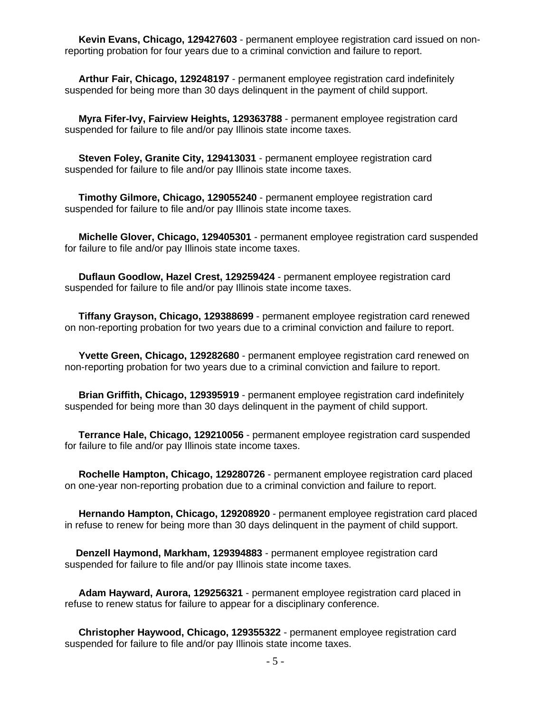**Kevin Evans, Chicago, 129427603** - permanent employee registration card issued on nonreporting probation for four years due to a criminal conviction and failure to report.

 **Arthur Fair, Chicago, 129248197** - permanent employee registration card indefinitely suspended for being more than 30 days delinquent in the payment of child support.

 **Myra Fifer-Ivy, Fairview Heights, 129363788** - permanent employee registration card suspended for failure to file and/or pay Illinois state income taxes.

 **Steven Foley, Granite City, 129413031** - permanent employee registration card suspended for failure to file and/or pay Illinois state income taxes.

 **Timothy Gilmore, Chicago, 129055240** - permanent employee registration card suspended for failure to file and/or pay Illinois state income taxes.

 **Michelle Glover, Chicago, 129405301** - permanent employee registration card suspended for failure to file and/or pay Illinois state income taxes.

 **Duflaun Goodlow, Hazel Crest, 129259424** - permanent employee registration card suspended for failure to file and/or pay Illinois state income taxes.

 **Tiffany Grayson, Chicago, 129388699** - permanent employee registration card renewed on non-reporting probation for two years due to a criminal conviction and failure to report.

 **Yvette Green, Chicago, 129282680** - permanent employee registration card renewed on non-reporting probation for two years due to a criminal conviction and failure to report.

 **Brian Griffith, Chicago, 129395919** - permanent employee registration card indefinitely suspended for being more than 30 days delinquent in the payment of child support.

 **Terrance Hale, Chicago, 129210056** - permanent employee registration card suspended for failure to file and/or pay Illinois state income taxes.

 **Rochelle Hampton, Chicago, 129280726** - permanent employee registration card placed on one-year non-reporting probation due to a criminal conviction and failure to report.

 **Hernando Hampton, Chicago, 129208920** - permanent employee registration card placed in refuse to renew for being more than 30 days delinquent in the payment of child support.

 **Denzell Haymond, Markham, 129394883** - permanent employee registration card suspended for failure to file and/or pay Illinois state income taxes.

 **Adam Hayward, Aurora, 129256321** - permanent employee registration card placed in refuse to renew status for failure to appear for a disciplinary conference.

 **Christopher Haywood, Chicago, 129355322** - permanent employee registration card suspended for failure to file and/or pay Illinois state income taxes.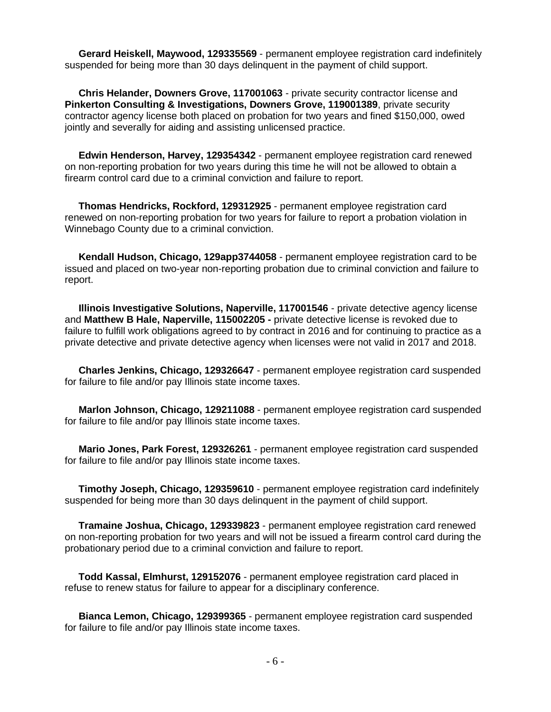**Gerard Heiskell, Maywood, 129335569** - permanent employee registration card indefinitely suspended for being more than 30 days delinquent in the payment of child support.

 **Chris Helander, Downers Grove, 117001063** - private security contractor license and **Pinkerton Consulting & Investigations, Downers Grove, 119001389**, private security contractor agency license both placed on probation for two years and fined \$150,000, owed jointly and severally for aiding and assisting unlicensed practice.

 **Edwin Henderson, Harvey, 129354342** - permanent employee registration card renewed on non-reporting probation for two years during this time he will not be allowed to obtain a firearm control card due to a criminal conviction and failure to report.

 **Thomas Hendricks, Rockford, 129312925** - permanent employee registration card renewed on non-reporting probation for two years for failure to report a probation violation in Winnebago County due to a criminal conviction.

 **Kendall Hudson, Chicago, 129app3744058** - permanent employee registration card to be issued and placed on two-year non-reporting probation due to criminal conviction and failure to report.

 **Illinois Investigative Solutions, Naperville, 117001546** - private detective agency license and **Matthew B Hale, Naperville, 115002205 -** private detective license is revoked due to failure to fulfill work obligations agreed to by contract in 2016 and for continuing to practice as a private detective and private detective agency when licenses were not valid in 2017 and 2018.

 **Charles Jenkins, Chicago, 129326647** - permanent employee registration card suspended for failure to file and/or pay Illinois state income taxes.

 **Marlon Johnson, Chicago, 129211088** - permanent employee registration card suspended for failure to file and/or pay Illinois state income taxes.

 **Mario Jones, Park Forest, 129326261** - permanent employee registration card suspended for failure to file and/or pay Illinois state income taxes.

 **Timothy Joseph, Chicago, 129359610** - permanent employee registration card indefinitely suspended for being more than 30 days delinquent in the payment of child support.

 **Tramaine Joshua, Chicago, 129339823** - permanent employee registration card renewed on non-reporting probation for two years and will not be issued a firearm control card during the probationary period due to a criminal conviction and failure to report.

 **Todd Kassal, Elmhurst, 129152076** - permanent employee registration card placed in refuse to renew status for failure to appear for a disciplinary conference.

 **Bianca Lemon, Chicago, 129399365** - permanent employee registration card suspended for failure to file and/or pay Illinois state income taxes.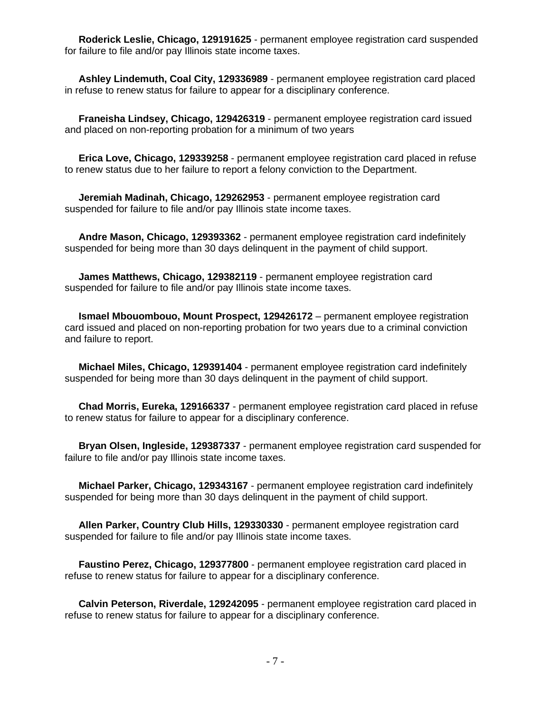**Roderick Leslie, Chicago, 129191625** - permanent employee registration card suspended for failure to file and/or pay Illinois state income taxes.

 **Ashley Lindemuth, Coal City, 129336989** - permanent employee registration card placed in refuse to renew status for failure to appear for a disciplinary conference.

 **Franeisha Lindsey, Chicago, 129426319** - permanent employee registration card issued and placed on non-reporting probation for a minimum of two years

 **Erica Love, Chicago, 129339258** - permanent employee registration card placed in refuse to renew status due to her failure to report a felony conviction to the Department.

 **Jeremiah Madinah, Chicago, 129262953** - permanent employee registration card suspended for failure to file and/or pay Illinois state income taxes.

 **Andre Mason, Chicago, 129393362** - permanent employee registration card indefinitely suspended for being more than 30 days delinquent in the payment of child support.

 **James Matthews, Chicago, 129382119** - permanent employee registration card suspended for failure to file and/or pay Illinois state income taxes.

 **Ismael Mbouombouo, Mount Prospect, 129426172** – permanent employee registration card issued and placed on non-reporting probation for two years due to a criminal conviction and failure to report.

 **Michael Miles, Chicago, 129391404** - permanent employee registration card indefinitely suspended for being more than 30 days delinquent in the payment of child support.

 **Chad Morris, Eureka, 129166337** - permanent employee registration card placed in refuse to renew status for failure to appear for a disciplinary conference.

 **Bryan Olsen, Ingleside, 129387337** - permanent employee registration card suspended for failure to file and/or pay Illinois state income taxes.

 **Michael Parker, Chicago, 129343167** - permanent employee registration card indefinitely suspended for being more than 30 days delinquent in the payment of child support.

 **Allen Parker, Country Club Hills, 129330330** - permanent employee registration card suspended for failure to file and/or pay Illinois state income taxes.

 **Faustino Perez, Chicago, 129377800** - permanent employee registration card placed in refuse to renew status for failure to appear for a disciplinary conference.

 **Calvin Peterson, Riverdale, 129242095** - permanent employee registration card placed in refuse to renew status for failure to appear for a disciplinary conference.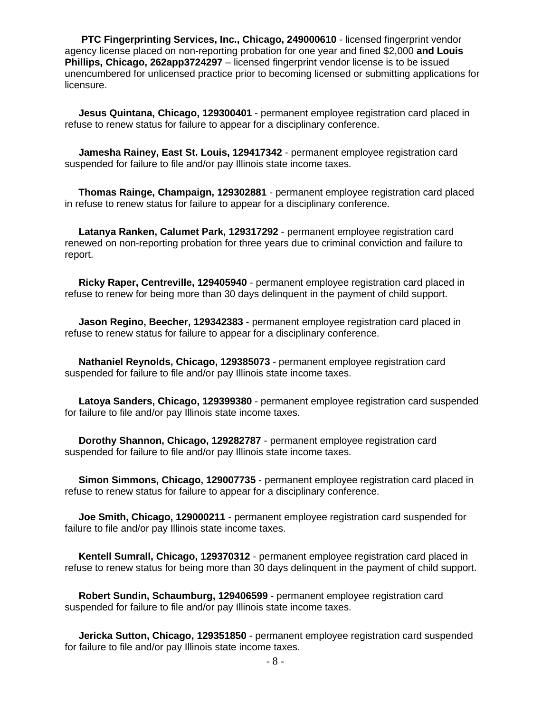**PTC Fingerprinting Services, Inc., Chicago, 249000610** - licensed fingerprint vendor agency license placed on non-reporting probation for one year and fined \$2,000 **and Louis Phillips, Chicago, 262app3724297** – licensed fingerprint vendor license is to be issued unencumbered for unlicensed practice prior to becoming licensed or submitting applications for licensure.

 **Jesus Quintana, Chicago, 129300401** - permanent employee registration card placed in refuse to renew status for failure to appear for a disciplinary conference.

 **Jamesha Rainey, East St. Louis, 129417342** - permanent employee registration card suspended for failure to file and/or pay Illinois state income taxes.

 **Thomas Rainge, Champaign, 129302881** - permanent employee registration card placed in refuse to renew status for failure to appear for a disciplinary conference.

 **Latanya Ranken, Calumet Park, 129317292** - permanent employee registration card renewed on non-reporting probation for three years due to criminal conviction and failure to report.

 **Ricky Raper, Centreville, 129405940** - permanent employee registration card placed in refuse to renew for being more than 30 days delinquent in the payment of child support.

 **Jason Regino, Beecher, 129342383** - permanent employee registration card placed in refuse to renew status for failure to appear for a disciplinary conference.

 **Nathaniel Reynolds, Chicago, 129385073** - permanent employee registration card suspended for failure to file and/or pay Illinois state income taxes.

 **Latoya Sanders, Chicago, 129399380** - permanent employee registration card suspended for failure to file and/or pay Illinois state income taxes.

 **Dorothy Shannon, Chicago, 129282787** - permanent employee registration card suspended for failure to file and/or pay Illinois state income taxes.

 **Simon Simmons, Chicago, 129007735** - permanent employee registration card placed in refuse to renew status for failure to appear for a disciplinary conference.

 **Joe Smith, Chicago, 129000211** - permanent employee registration card suspended for failure to file and/or pay Illinois state income taxes.

 **Kentell Sumrall, Chicago, 129370312** - permanent employee registration card placed in refuse to renew status for being more than 30 days delinquent in the payment of child support.

 **Robert Sundin, Schaumburg, 129406599** - permanent employee registration card suspended for failure to file and/or pay Illinois state income taxes.

 **Jericka Sutton, Chicago, 129351850** - permanent employee registration card suspended for failure to file and/or pay Illinois state income taxes.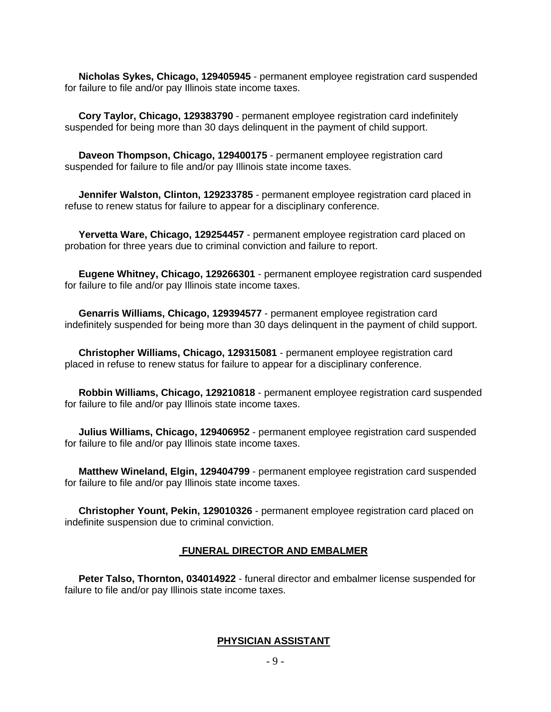**Nicholas Sykes, Chicago, 129405945** - permanent employee registration card suspended for failure to file and/or pay Illinois state income taxes.

 **Cory Taylor, Chicago, 129383790** - permanent employee registration card indefinitely suspended for being more than 30 days delinquent in the payment of child support.

 **Daveon Thompson, Chicago, 129400175** - permanent employee registration card suspended for failure to file and/or pay Illinois state income taxes.

 **Jennifer Walston, Clinton, 129233785** - permanent employee registration card placed in refuse to renew status for failure to appear for a disciplinary conference.

 **Yervetta Ware, Chicago, 129254457** - permanent employee registration card placed on probation for three years due to criminal conviction and failure to report.

 **Eugene Whitney, Chicago, 129266301** - permanent employee registration card suspended for failure to file and/or pay Illinois state income taxes.

 **Genarris Williams, Chicago, 129394577** - permanent employee registration card indefinitely suspended for being more than 30 days delinquent in the payment of child support.

 **Christopher Williams, Chicago, 129315081** - permanent employee registration card placed in refuse to renew status for failure to appear for a disciplinary conference.

 **Robbin Williams, Chicago, 129210818** - permanent employee registration card suspended for failure to file and/or pay Illinois state income taxes.

 **Julius Williams, Chicago, 129406952** - permanent employee registration card suspended for failure to file and/or pay Illinois state income taxes.

 **Matthew Wineland, Elgin, 129404799** - permanent employee registration card suspended for failure to file and/or pay Illinois state income taxes.

 **Christopher Yount, Pekin, 129010326** - permanent employee registration card placed on indefinite suspension due to criminal conviction.

# **FUNERAL DIRECTOR AND EMBALMER**

 **Peter Talso, Thornton, 034014922** - funeral director and embalmer license suspended for failure to file and/or pay Illinois state income taxes.

# **PHYSICIAN ASSISTANT**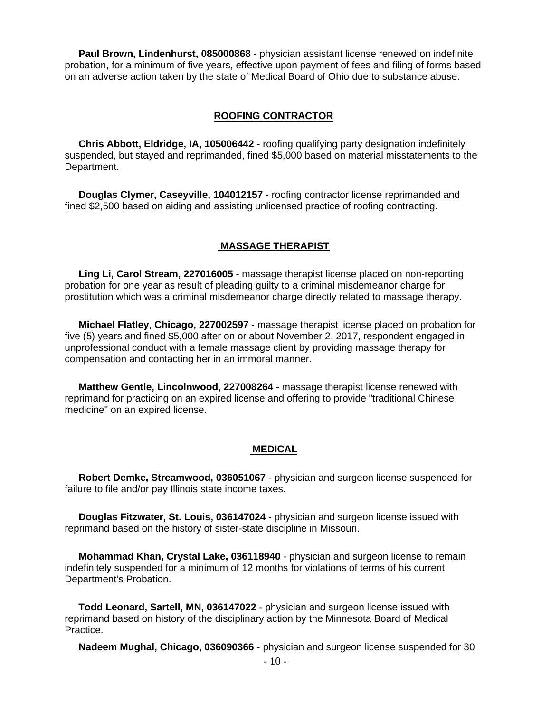**Paul Brown, Lindenhurst, 085000868** - physician assistant license renewed on indefinite probation, for a minimum of five years, effective upon payment of fees and filing of forms based on an adverse action taken by the state of Medical Board of Ohio due to substance abuse.

#### **ROOFING CONTRACTOR**

 **Chris Abbott, Eldridge, IA, 105006442** - roofing qualifying party designation indefinitely suspended, but stayed and reprimanded, fined \$5,000 based on material misstatements to the Department.

 **Douglas Clymer, Caseyville, 104012157** - roofing contractor license reprimanded and fined \$2,500 based on aiding and assisting unlicensed practice of roofing contracting.

### **MASSAGE THERAPIST**

 **Ling Li, Carol Stream, 227016005** - massage therapist license placed on non-reporting probation for one year as result of pleading guilty to a criminal misdemeanor charge for prostitution which was a criminal misdemeanor charge directly related to massage therapy.

 **Michael Flatley, Chicago, 227002597** - massage therapist license placed on probation for five (5) years and fined \$5,000 after on or about November 2, 2017, respondent engaged in unprofessional conduct with a female massage client by providing massage therapy for compensation and contacting her in an immoral manner.

 **Matthew Gentle, Lincolnwood, 227008264** - massage therapist license renewed with reprimand for practicing on an expired license and offering to provide "traditional Chinese medicine" on an expired license.

#### **MEDICAL**

 **Robert Demke, Streamwood, 036051067** - physician and surgeon license suspended for failure to file and/or pay Illinois state income taxes.

 **Douglas Fitzwater, St. Louis, 036147024** - physician and surgeon license issued with reprimand based on the history of sister-state discipline in Missouri.

 **Mohammad Khan, Crystal Lake, 036118940** - physician and surgeon license to remain indefinitely suspended for a minimum of 12 months for violations of terms of his current Department's Probation.

 **Todd Leonard, Sartell, MN, 036147022** - physician and surgeon license issued with reprimand based on history of the disciplinary action by the Minnesota Board of Medical Practice.

**Nadeem Mughal, Chicago, 036090366** - physician and surgeon license suspended for 30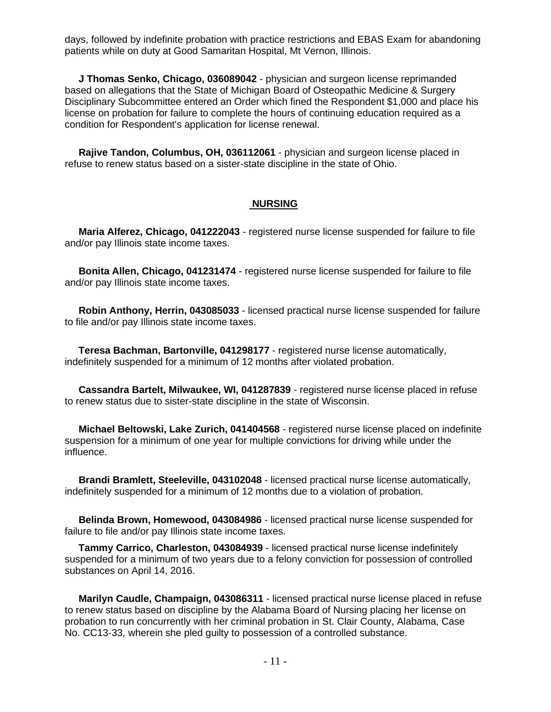days, followed by indefinite probation with practice restrictions and EBAS Exam for abandoning patients while on duty at Good Samaritan Hospital, Mt Vernon, Illinois.

 **J Thomas Senko, Chicago, 036089042** - physician and surgeon license reprimanded based on allegations that the State of Michigan Board of Osteopathic Medicine & Surgery Disciplinary Subcommittee entered an Order which fined the Respondent \$1,000 and place his license on probation for failure to complete the hours of continuing education required as a condition for Respondent's application for license renewal.

 **Rajive Tandon, Columbus, OH, 036112061** - physician and surgeon license placed in refuse to renew status based on a sister-state discipline in the state of Ohio.

#### **NURSING**

 **Maria Alferez, Chicago, 041222043** - registered nurse license suspended for failure to file and/or pay Illinois state income taxes.

 **Bonita Allen, Chicago, 041231474** - registered nurse license suspended for failure to file and/or pay Illinois state income taxes.

 **Robin Anthony, Herrin, 043085033** - licensed practical nurse license suspended for failure to file and/or pay Illinois state income taxes.

 **Teresa Bachman, Bartonville, 041298177** - registered nurse license automatically, indefinitely suspended for a minimum of 12 months after violated probation.

 **Cassandra Bartelt, Milwaukee, WI, 041287839** - registered nurse license placed in refuse to renew status due to sister-state discipline in the state of Wisconsin.

 **Michael Beltowski, Lake Zurich, 041404568** - registered nurse license placed on indefinite suspension for a minimum of one year for multiple convictions for driving while under the influence.

 **Brandi Bramlett, Steeleville, 043102048** - licensed practical nurse license automatically, indefinitely suspended for a minimum of 12 months due to a violation of probation.

 **Belinda Brown, Homewood, 043084986** - licensed practical nurse license suspended for failure to file and/or pay Illinois state income taxes.

 **Tammy Carrico, Charleston, 043084939** - licensed practical nurse license indefinitely suspended for a minimum of two years due to a felony conviction for possession of controlled substances on April 14, 2016.

 **Marilyn Caudle, Champaign, 043086311** - licensed practical nurse license placed in refuse to renew status based on discipline by the Alabama Board of Nursing placing her license on probation to run concurrently with her criminal probation in St. Clair County, Alabama, Case No. CC13-33, wherein she pled guilty to possession of a controlled substance.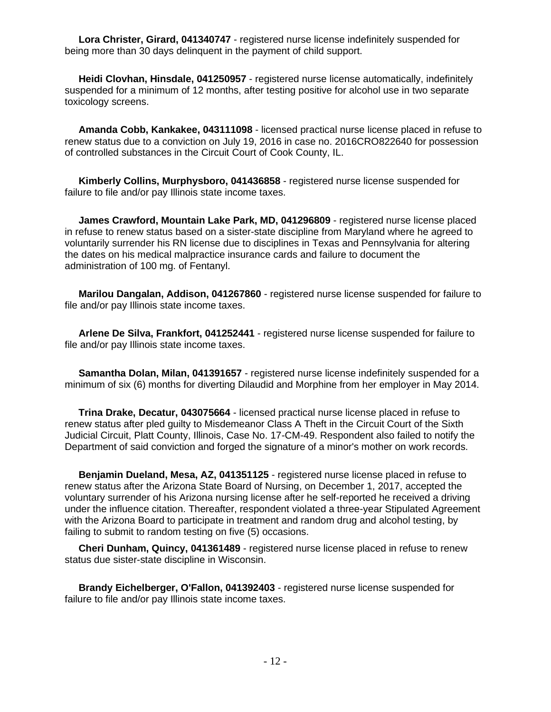**Lora Christer, Girard, 041340747** - registered nurse license indefinitely suspended for being more than 30 days delinquent in the payment of child support.

 **Heidi Clovhan, Hinsdale, 041250957** - registered nurse license automatically, indefinitely suspended for a minimum of 12 months, after testing positive for alcohol use in two separate toxicology screens.

 **Amanda Cobb, Kankakee, 043111098** - licensed practical nurse license placed in refuse to renew status due to a conviction on July 19, 2016 in case no. 2016CRO822640 for possession of controlled substances in the Circuit Court of Cook County, IL.

 **Kimberly Collins, Murphysboro, 041436858** - registered nurse license suspended for failure to file and/or pay Illinois state income taxes.

 **James Crawford, Mountain Lake Park, MD, 041296809** - registered nurse license placed in refuse to renew status based on a sister-state discipline from Maryland where he agreed to voluntarily surrender his RN license due to disciplines in Texas and Pennsylvania for altering the dates on his medical malpractice insurance cards and failure to document the administration of 100 mg. of Fentanyl.

 **Marilou Dangalan, Addison, 041267860** - registered nurse license suspended for failure to file and/or pay Illinois state income taxes.

 **Arlene De Silva, Frankfort, 041252441** - registered nurse license suspended for failure to file and/or pay Illinois state income taxes.

 **Samantha Dolan, Milan, 041391657** - registered nurse license indefinitely suspended for a minimum of six (6) months for diverting Dilaudid and Morphine from her employer in May 2014.

 **Trina Drake, Decatur, 043075664** - licensed practical nurse license placed in refuse to renew status after pled guilty to Misdemeanor Class A Theft in the Circuit Court of the Sixth Judicial Circuit, Platt County, Illinois, Case No. 17-CM-49. Respondent also failed to notify the Department of said conviction and forged the signature of a minor's mother on work records.

 **Benjamin Dueland, Mesa, AZ, 041351125** - registered nurse license placed in refuse to renew status after the Arizona State Board of Nursing, on December 1, 2017, accepted the voluntary surrender of his Arizona nursing license after he self-reported he received a driving under the influence citation. Thereafter, respondent violated a three-year Stipulated Agreement with the Arizona Board to participate in treatment and random drug and alcohol testing, by failing to submit to random testing on five (5) occasions.

 **Cheri Dunham, Quincy, 041361489** - registered nurse license placed in refuse to renew status due sister-state discipline in Wisconsin.

 **Brandy Eichelberger, O'Fallon, 041392403** - registered nurse license suspended for failure to file and/or pay Illinois state income taxes.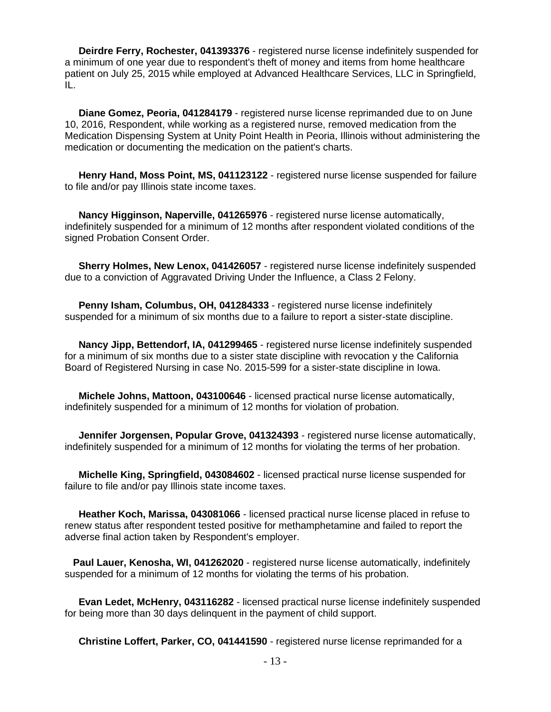**Deirdre Ferry, Rochester, 041393376** - registered nurse license indefinitely suspended for a minimum of one year due to respondent's theft of money and items from home healthcare patient on July 25, 2015 while employed at Advanced Healthcare Services, LLC in Springfield, IL.

 **Diane Gomez, Peoria, 041284179** - registered nurse license reprimanded due to on June 10, 2016, Respondent, while working as a registered nurse, removed medication from the Medication Dispensing System at Unity Point Health in Peoria, Illinois without administering the medication or documenting the medication on the patient's charts.

 **Henry Hand, Moss Point, MS, 041123122** - registered nurse license suspended for failure to file and/or pay Illinois state income taxes.

 **Nancy Higginson, Naperville, 041265976** - registered nurse license automatically, indefinitely suspended for a minimum of 12 months after respondent violated conditions of the signed Probation Consent Order.

 **Sherry Holmes, New Lenox, 041426057** - registered nurse license indefinitely suspended due to a conviction of Aggravated Driving Under the Influence, a Class 2 Felony.

 **Penny Isham, Columbus, OH, 041284333** - registered nurse license indefinitely suspended for a minimum of six months due to a failure to report a sister-state discipline.

 **Nancy Jipp, Bettendorf, IA, 041299465** - registered nurse license indefinitely suspended for a minimum of six months due to a sister state discipline with revocation y the California Board of Registered Nursing in case No. 2015-599 for a sister-state discipline in Iowa.

 **Michele Johns, Mattoon, 043100646** - licensed practical nurse license automatically, indefinitely suspended for a minimum of 12 months for violation of probation.

 **Jennifer Jorgensen, Popular Grove, 041324393** - registered nurse license automatically, indefinitely suspended for a minimum of 12 months for violating the terms of her probation.

 **Michelle King, Springfield, 043084602** - licensed practical nurse license suspended for failure to file and/or pay Illinois state income taxes.

 **Heather Koch, Marissa, 043081066** - licensed practical nurse license placed in refuse to renew status after respondent tested positive for methamphetamine and failed to report the adverse final action taken by Respondent's employer.

 **Paul Lauer, Kenosha, WI, 041262020** - registered nurse license automatically, indefinitely suspended for a minimum of 12 months for violating the terms of his probation.

 **Evan Ledet, McHenry, 043116282** - licensed practical nurse license indefinitely suspended for being more than 30 days delinquent in the payment of child support.

**Christine Loffert, Parker, CO, 041441590** - registered nurse license reprimanded for a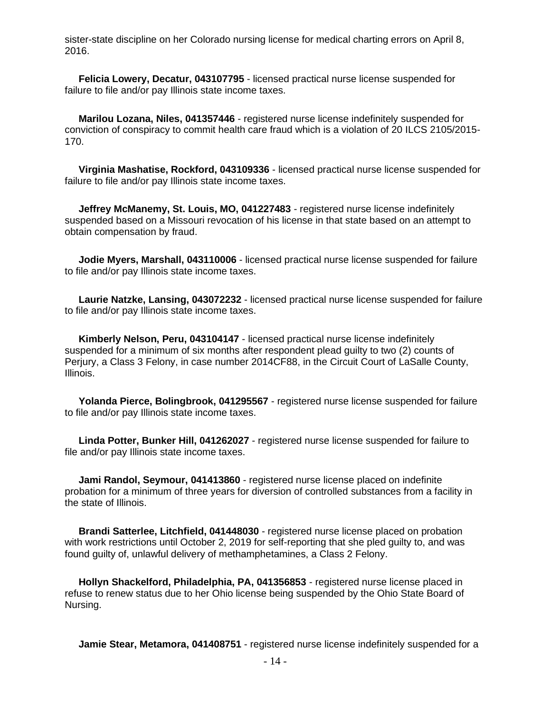sister-state discipline on her Colorado nursing license for medical charting errors on April 8, 2016.

 **Felicia Lowery, Decatur, 043107795** - licensed practical nurse license suspended for failure to file and/or pay Illinois state income taxes.

 **Marilou Lozana, Niles, 041357446** - registered nurse license indefinitely suspended for conviction of conspiracy to commit health care fraud which is a violation of 20 ILCS 2105/2015- 170.

 **Virginia Mashatise, Rockford, 043109336** - licensed practical nurse license suspended for failure to file and/or pay Illinois state income taxes.

 **Jeffrey McManemy, St. Louis, MO, 041227483** - registered nurse license indefinitely suspended based on a Missouri revocation of his license in that state based on an attempt to obtain compensation by fraud.

 **Jodie Myers, Marshall, 043110006** - licensed practical nurse license suspended for failure to file and/or pay Illinois state income taxes.

 **Laurie Natzke, Lansing, 043072232** - licensed practical nurse license suspended for failure to file and/or pay Illinois state income taxes.

 **Kimberly Nelson, Peru, 043104147** - licensed practical nurse license indefinitely suspended for a minimum of six months after respondent plead guilty to two (2) counts of Perjury, a Class 3 Felony, in case number 2014CF88, in the Circuit Court of LaSalle County, Illinois.

 **Yolanda Pierce, Bolingbrook, 041295567** - registered nurse license suspended for failure to file and/or pay Illinois state income taxes.

 **Linda Potter, Bunker Hill, 041262027** - registered nurse license suspended for failure to file and/or pay Illinois state income taxes.

 **Jami Randol, Seymour, 041413860** - registered nurse license placed on indefinite probation for a minimum of three years for diversion of controlled substances from a facility in the state of Illinois.

**Brandi Satterlee, Litchfield, 041448030** - registered nurse license placed on probation with work restrictions until October 2, 2019 for self-reporting that she pled guilty to, and was found guilty of, unlawful delivery of methamphetamines, a Class 2 Felony.

 **Hollyn Shackelford, Philadelphia, PA, 041356853** - registered nurse license placed in refuse to renew status due to her Ohio license being suspended by the Ohio State Board of Nursing.

**Jamie Stear, Metamora, 041408751** - registered nurse license indefinitely suspended for a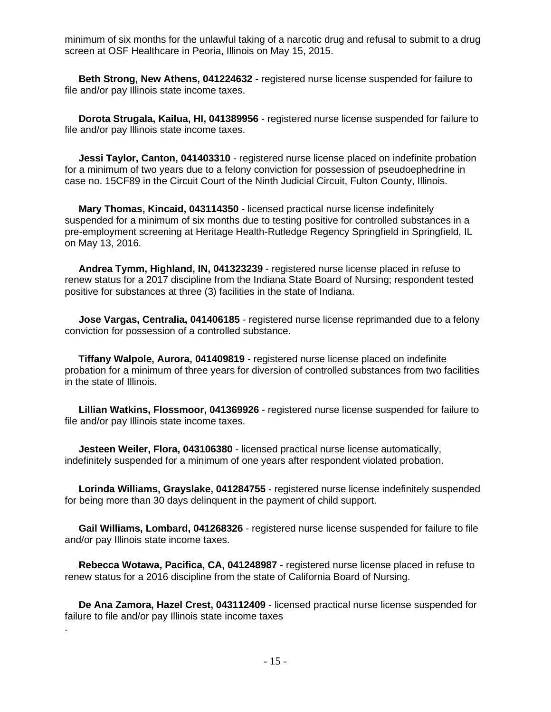minimum of six months for the unlawful taking of a narcotic drug and refusal to submit to a drug screen at OSF Healthcare in Peoria, Illinois on May 15, 2015.

 **Beth Strong, New Athens, 041224632** - registered nurse license suspended for failure to file and/or pay Illinois state income taxes.

 **Dorota Strugala, Kailua, HI, 041389956** - registered nurse license suspended for failure to file and/or pay Illinois state income taxes.

 **Jessi Taylor, Canton, 041403310** - registered nurse license placed on indefinite probation for a minimum of two years due to a felony conviction for possession of pseudoephedrine in case no. 15CF89 in the Circuit Court of the Ninth Judicial Circuit, Fulton County, Illinois.

 **Mary Thomas, Kincaid, 043114350** - licensed practical nurse license indefinitely suspended for a minimum of six months due to testing positive for controlled substances in a pre-employment screening at Heritage Health-Rutledge Regency Springfield in Springfield, IL on May 13, 2016.

 **Andrea Tymm, Highland, IN, 041323239** - registered nurse license placed in refuse to renew status for a 2017 discipline from the Indiana State Board of Nursing; respondent tested positive for substances at three (3) facilities in the state of Indiana.

 **Jose Vargas, Centralia, 041406185** - registered nurse license reprimanded due to a felony conviction for possession of a controlled substance.

 **Tiffany Walpole, Aurora, 041409819** - registered nurse license placed on indefinite probation for a minimum of three years for diversion of controlled substances from two facilities in the state of Illinois.

 **Lillian Watkins, Flossmoor, 041369926** - registered nurse license suspended for failure to file and/or pay Illinois state income taxes.

 **Jesteen Weiler, Flora, 043106380** - licensed practical nurse license automatically, indefinitely suspended for a minimum of one years after respondent violated probation.

 **Lorinda Williams, Grayslake, 041284755** - registered nurse license indefinitely suspended for being more than 30 days delinquent in the payment of child support.

 **Gail Williams, Lombard, 041268326** - registered nurse license suspended for failure to file and/or pay Illinois state income taxes.

 **Rebecca Wotawa, Pacifica, CA, 041248987** - registered nurse license placed in refuse to renew status for a 2016 discipline from the state of California Board of Nursing.

 **De Ana Zamora, Hazel Crest, 043112409** - licensed practical nurse license suspended for failure to file and/or pay Illinois state income taxes

.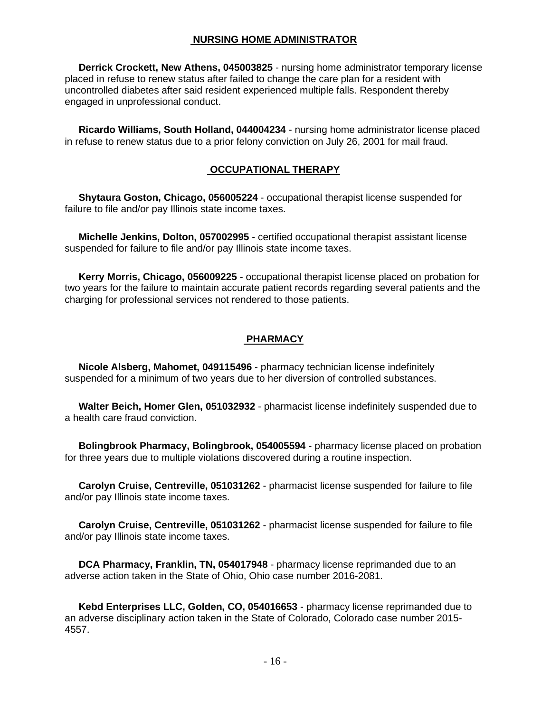# **NURSING HOME ADMINISTRATOR**

 **Derrick Crockett, New Athens, 045003825** - nursing home administrator temporary license placed in refuse to renew status after failed to change the care plan for a resident with uncontrolled diabetes after said resident experienced multiple falls. Respondent thereby engaged in unprofessional conduct.

 **Ricardo Williams, South Holland, 044004234** - nursing home administrator license placed in refuse to renew status due to a prior felony conviction on July 26, 2001 for mail fraud.

# **OCCUPATIONAL THERAPY**

 **Shytaura Goston, Chicago, 056005224** - occupational therapist license suspended for failure to file and/or pay Illinois state income taxes.

 **Michelle Jenkins, Dolton, 057002995** - certified occupational therapist assistant license suspended for failure to file and/or pay Illinois state income taxes.

 **Kerry Morris, Chicago, 056009225** - occupational therapist license placed on probation for two years for the failure to maintain accurate patient records regarding several patients and the charging for professional services not rendered to those patients.

# **PHARMACY**

 **Nicole Alsberg, Mahomet, 049115496** - pharmacy technician license indefinitely suspended for a minimum of two years due to her diversion of controlled substances.

 **Walter Beich, Homer Glen, 051032932** - pharmacist license indefinitely suspended due to a health care fraud conviction.

 **Bolingbrook Pharmacy, Bolingbrook, 054005594** - pharmacy license placed on probation for three years due to multiple violations discovered during a routine inspection.

 **Carolyn Cruise, Centreville, 051031262** - pharmacist license suspended for failure to file and/or pay Illinois state income taxes.

 **Carolyn Cruise, Centreville, 051031262** - pharmacist license suspended for failure to file and/or pay Illinois state income taxes.

 **DCA Pharmacy, Franklin, TN, 054017948** - pharmacy license reprimanded due to an adverse action taken in the State of Ohio, Ohio case number 2016-2081.

 **Kebd Enterprises LLC, Golden, CO, 054016653** - pharmacy license reprimanded due to an adverse disciplinary action taken in the State of Colorado, Colorado case number 2015- 4557.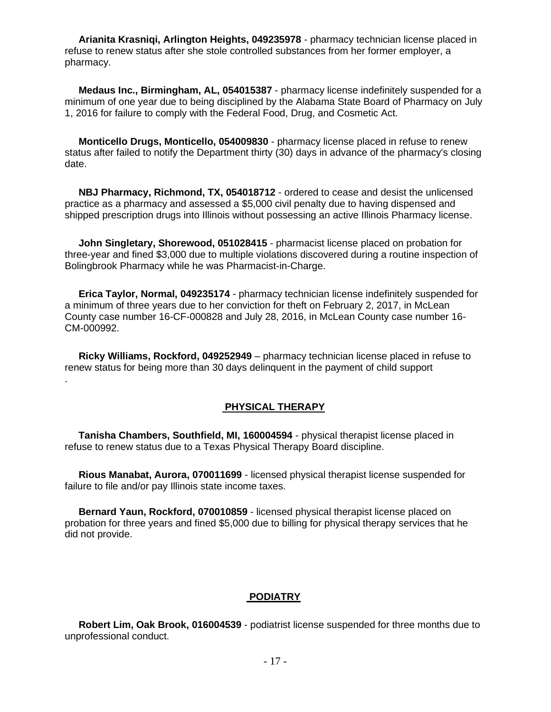**Arianita Krasniqi, Arlington Heights, 049235978** - pharmacy technician license placed in refuse to renew status after she stole controlled substances from her former employer, a pharmacy.

 **Medaus Inc., Birmingham, AL, 054015387** - pharmacy license indefinitely suspended for a minimum of one year due to being disciplined by the Alabama State Board of Pharmacy on July 1, 2016 for failure to comply with the Federal Food, Drug, and Cosmetic Act.

 **Monticello Drugs, Monticello, 054009830** - pharmacy license placed in refuse to renew status after failed to notify the Department thirty (30) days in advance of the pharmacy's closing date.

 **NBJ Pharmacy, Richmond, TX, 054018712** - ordered to cease and desist the unlicensed practice as a pharmacy and assessed a \$5,000 civil penalty due to having dispensed and shipped prescription drugs into Illinois without possessing an active Illinois Pharmacy license.

 **John Singletary, Shorewood, 051028415** - pharmacist license placed on probation for three-year and fined \$3,000 due to multiple violations discovered during a routine inspection of Bolingbrook Pharmacy while he was Pharmacist-in-Charge.

 **Erica Taylor, Normal, 049235174** - pharmacy technician license indefinitely suspended for a minimum of three years due to her conviction for theft on February 2, 2017, in McLean County case number 16-CF-000828 and July 28, 2016, in McLean County case number 16- CM-000992.

 **Ricky Williams, Rockford, 049252949** – pharmacy technician license placed in refuse to renew status for being more than 30 days delinquent in the payment of child support

.

# **PHYSICAL THERAPY**

 **Tanisha Chambers, Southfield, MI, 160004594** - physical therapist license placed in refuse to renew status due to a Texas Physical Therapy Board discipline.

 **Rious Manabat, Aurora, 070011699** - licensed physical therapist license suspended for failure to file and/or pay Illinois state income taxes.

 **Bernard Yaun, Rockford, 070010859** - licensed physical therapist license placed on probation for three years and fined \$5,000 due to billing for physical therapy services that he did not provide.

#### **PODIATRY**

 **Robert Lim, Oak Brook, 016004539** - podiatrist license suspended for three months due to unprofessional conduct.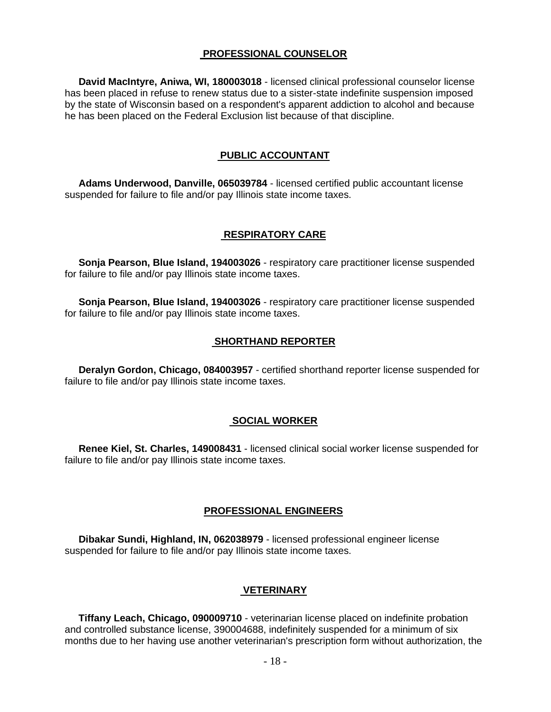# **PROFESSIONAL COUNSELOR**

 **David MacIntyre, Aniwa, WI, 180003018** - licensed clinical professional counselor license has been placed in refuse to renew status due to a sister-state indefinite suspension imposed by the state of Wisconsin based on a respondent's apparent addiction to alcohol and because he has been placed on the Federal Exclusion list because of that discipline.

# **PUBLIC ACCOUNTANT**

 **Adams Underwood, Danville, 065039784** - licensed certified public accountant license suspended for failure to file and/or pay Illinois state income taxes.

### **RESPIRATORY CARE**

 **Sonja Pearson, Blue Island, 194003026** - respiratory care practitioner license suspended for failure to file and/or pay Illinois state income taxes.

 **Sonja Pearson, Blue Island, 194003026** - respiratory care practitioner license suspended for failure to file and/or pay Illinois state income taxes.

#### **SHORTHAND REPORTER**

 **Deralyn Gordon, Chicago, 084003957** - certified shorthand reporter license suspended for failure to file and/or pay Illinois state income taxes.

#### **SOCIAL WORKER**

 **Renee Kiel, St. Charles, 149008431** - licensed clinical social worker license suspended for failure to file and/or pay Illinois state income taxes.

#### **PROFESSIONAL ENGINEERS**

 **Dibakar Sundi, Highland, IN, 062038979** - licensed professional engineer license suspended for failure to file and/or pay Illinois state income taxes.

## **VETERINARY**

 **Tiffany Leach, Chicago, 090009710** - veterinarian license placed on indefinite probation and controlled substance license, 390004688, indefinitely suspended for a minimum of six months due to her having use another veterinarian's prescription form without authorization, the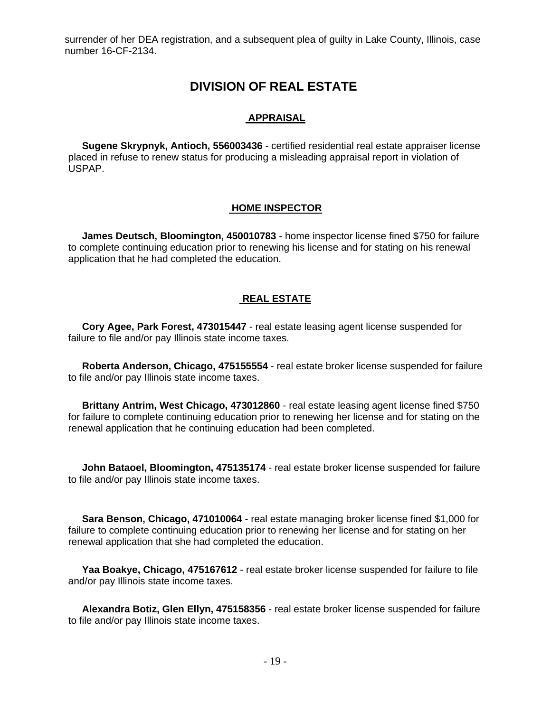surrender of her DEA registration, and a subsequent plea of guilty in Lake County, Illinois, case number 16-CF-2134.

# **DIVISION OF REAL ESTATE**

#### **APPRAISAL**

 **Sugene Skrypnyk, Antioch, 556003436** - certified residential real estate appraiser license placed in refuse to renew status for producing a misleading appraisal report in violation of USPAP.

#### **HOME INSPECTOR**

 **James Deutsch, Bloomington, 450010783** - home inspector license fined \$750 for failure to complete continuing education prior to renewing his license and for stating on his renewal application that he had completed the education.

### **REAL ESTATE**

 **Cory Agee, Park Forest, 473015447** - real estate leasing agent license suspended for failure to file and/or pay Illinois state income taxes.

 **Roberta Anderson, Chicago, 475155554** - real estate broker license suspended for failure to file and/or pay Illinois state income taxes.

 **Brittany Antrim, West Chicago, 473012860** - real estate leasing agent license fined \$750 for failure to complete continuing education prior to renewing her license and for stating on the renewal application that he continuing education had been completed.

 **John Bataoel, Bloomington, 475135174** - real estate broker license suspended for failure to file and/or pay Illinois state income taxes.

 **Sara Benson, Chicago, 471010064** - real estate managing broker license fined \$1,000 for failure to complete continuing education prior to renewing her license and for stating on her renewal application that she had completed the education.

 **Yaa Boakye, Chicago, 475167612** - real estate broker license suspended for failure to file and/or pay Illinois state income taxes.

 **Alexandra Botiz, Glen Ellyn, 475158356** - real estate broker license suspended for failure to file and/or pay Illinois state income taxes.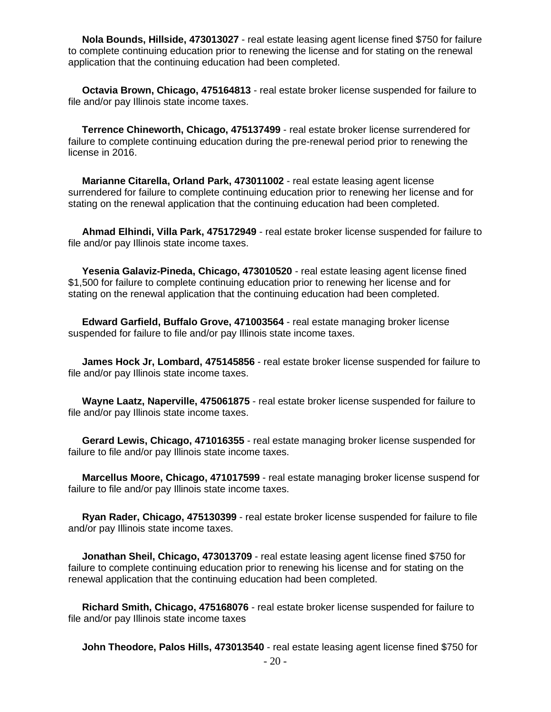**Nola Bounds, Hillside, 473013027** - real estate leasing agent license fined \$750 for failure to complete continuing education prior to renewing the license and for stating on the renewal application that the continuing education had been completed.

 **Octavia Brown, Chicago, 475164813** - real estate broker license suspended for failure to file and/or pay Illinois state income taxes.

 **Terrence Chineworth, Chicago, 475137499** - real estate broker license surrendered for failure to complete continuing education during the pre-renewal period prior to renewing the license in 2016.

 **Marianne Citarella, Orland Park, 473011002** - real estate leasing agent license surrendered for failure to complete continuing education prior to renewing her license and for stating on the renewal application that the continuing education had been completed.

 **Ahmad Elhindi, Villa Park, 475172949** - real estate broker license suspended for failure to file and/or pay Illinois state income taxes.

 **Yesenia Galaviz-Pineda, Chicago, 473010520** - real estate leasing agent license fined \$1,500 for failure to complete continuing education prior to renewing her license and for stating on the renewal application that the continuing education had been completed.

 **Edward Garfield, Buffalo Grove, 471003564** - real estate managing broker license suspended for failure to file and/or pay Illinois state income taxes.

 **James Hock Jr, Lombard, 475145856** - real estate broker license suspended for failure to file and/or pay Illinois state income taxes.

 **Wayne Laatz, Naperville, 475061875** - real estate broker license suspended for failure to file and/or pay Illinois state income taxes.

 **Gerard Lewis, Chicago, 471016355** - real estate managing broker license suspended for failure to file and/or pay Illinois state income taxes.

 **Marcellus Moore, Chicago, 471017599** - real estate managing broker license suspend for failure to file and/or pay Illinois state income taxes.

 **Ryan Rader, Chicago, 475130399** - real estate broker license suspended for failure to file and/or pay Illinois state income taxes.

 **Jonathan Sheil, Chicago, 473013709** - real estate leasing agent license fined \$750 for failure to complete continuing education prior to renewing his license and for stating on the renewal application that the continuing education had been completed.

 **Richard Smith, Chicago, 475168076** - real estate broker license suspended for failure to file and/or pay Illinois state income taxes

**John Theodore, Palos Hills, 473013540** - real estate leasing agent license fined \$750 for